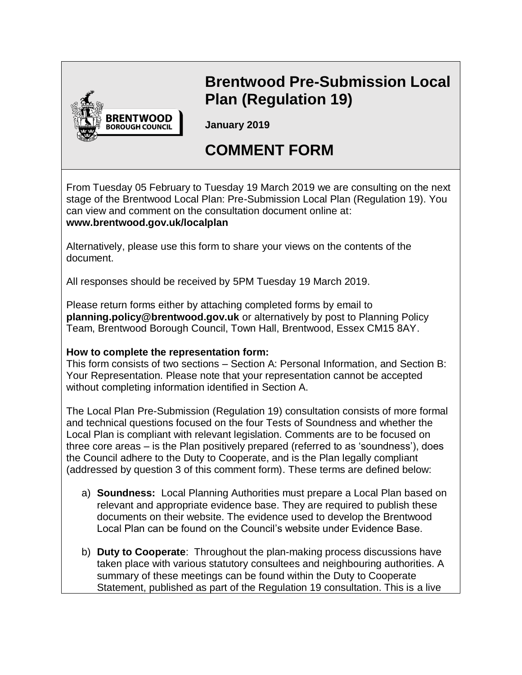

# **Brentwood Pre-Submission Local Plan (Regulation 19)**

**January 2019** 

# **COMMENT FORM**

From Tuesday 05 February to Tuesday 19 March 2019 we are consulting on the next stage of the Brentwood Local Plan: Pre-Submission Local Plan (Regulation 19). You can view and comment on the consultation document online at: **www.brentwood.gov.uk/localplan**

Alternatively, please use this form to share your views on the contents of the document.

All responses should be received by 5PM Tuesday 19 March 2019.

Please return forms either by attaching completed forms by email to **planning.policy@brentwood.gov.uk** or alternatively by post to Planning Policy Team, Brentwood Borough Council, Town Hall, Brentwood, Essex CM15 8AY.

### **How to complete the representation form:**

This form consists of two sections – Section A: Personal Information, and Section B: Your Representation. Please note that your representation cannot be accepted without completing information identified in Section A.

The Local Plan Pre-Submission (Regulation 19) consultation consists of more formal and technical questions focused on the four Tests of Soundness and whether the Local Plan is compliant with relevant legislation. Comments are to be focused on three core areas – is the Plan positively prepared (referred to as 'soundness'), does the Council adhere to the Duty to Cooperate, and is the Plan legally compliant (addressed by question 3 of this comment form). These terms are defined below:

- a) **Soundness:** Local Planning Authorities must prepare a Local Plan based on relevant and appropriate evidence base. They are required to publish these documents on their website. The evidence used to develop the Brentwood Local Plan can be found on the Council's website under Evidence Base.
- b) **Duty to Cooperate**: Throughout the plan-making process discussions have taken place with various statutory consultees and neighbouring authorities. A summary of these meetings can be found within the Duty to Cooperate Statement, published as part of the Regulation 19 consultation. This is a live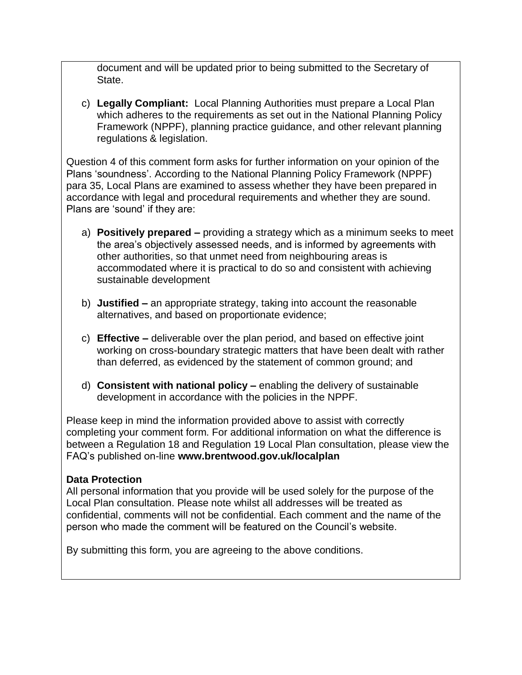document and will be updated prior to being submitted to the Secretary of State.

c) **Legally Compliant:** Local Planning Authorities must prepare a Local Plan which adheres to the requirements as set out in the National Planning Policy Framework (NPPF), planning practice guidance, and other relevant planning regulations & legislation.

Question 4 of this comment form asks for further information on your opinion of the Plans 'soundness'. According to the National Planning Policy Framework (NPPF) para 35, Local Plans are examined to assess whether they have been prepared in accordance with legal and procedural requirements and whether they are sound. Plans are 'sound' if they are:

- a) **Positively prepared –** providing a strategy which as a minimum seeks to meet the area's objectively assessed needs, and is informed by agreements with other authorities, so that unmet need from neighbouring areas is accommodated where it is practical to do so and consistent with achieving sustainable development
- b) **Justified –** an appropriate strategy, taking into account the reasonable alternatives, and based on proportionate evidence;
- c) **Effective –** deliverable over the plan period, and based on effective joint working on cross-boundary strategic matters that have been dealt with rather than deferred, as evidenced by the statement of common ground; and
- d) **Consistent with national policy –** enabling the delivery of sustainable development in accordance with the policies in the NPPF.

Please keep in mind the information provided above to assist with correctly completing your comment form. For additional information on what the difference is between a Regulation 18 and Regulation 19 Local Plan consultation, please view the FAQ's published on-line **www.brentwood.gov.uk/localplan**

### **Data Protection**

All personal information that you provide will be used solely for the purpose of the Local Plan consultation. Please note whilst all addresses will be treated as confidential, comments will not be confidential. Each comment and the name of the person who made the comment will be featured on the Council's website.

By submitting this form, you are agreeing to the above conditions.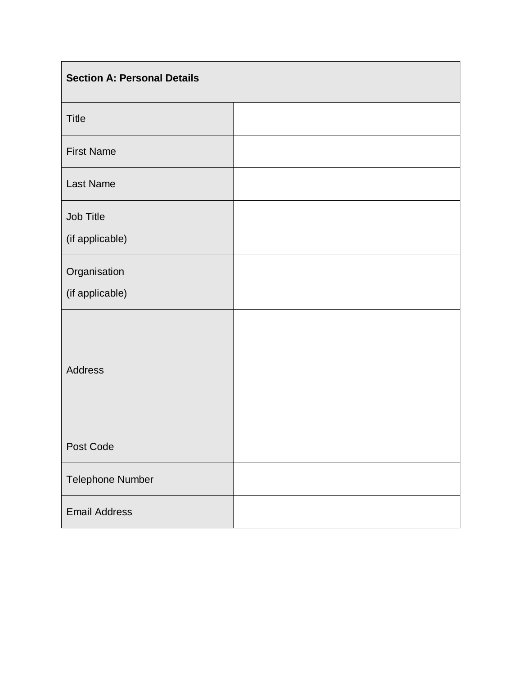| <b>Section A: Personal Details</b> |  |
|------------------------------------|--|
| <b>Title</b>                       |  |
| <b>First Name</b>                  |  |
| Last Name                          |  |
| Job Title<br>(if applicable)       |  |
| Organisation<br>(if applicable)    |  |
| <b>Address</b>                     |  |
| Post Code                          |  |
| Telephone Number                   |  |
| <b>Email Address</b>               |  |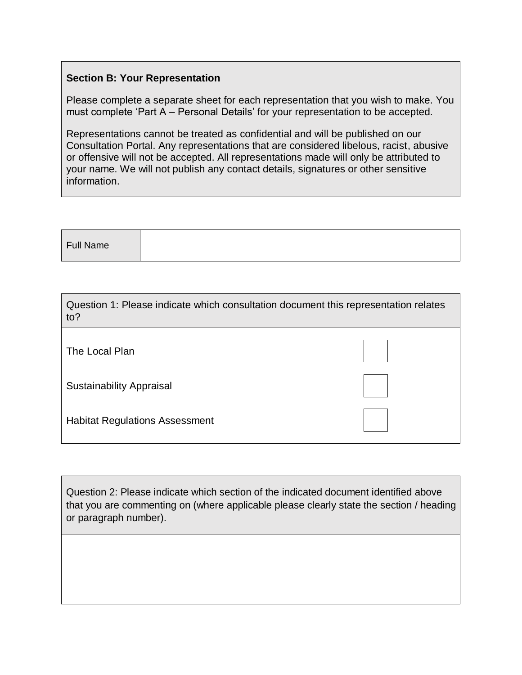#### **Section B: Your Representation**

Please complete a separate sheet for each representation that you wish to make. You must complete 'Part A – Personal Details' for your representation to be accepted.

Representations cannot be treated as confidential and will be published on our Consultation Portal. Any representations that are considered libelous, racist, abusive or offensive will not be accepted. All representations made will only be attributed to your name. We will not publish any contact details, signatures or other sensitive information.

| Full Name |  |  |  |
|-----------|--|--|--|
|           |  |  |  |

| Question 1: Please indicate which consultation document this representation relates<br>to? |  |
|--------------------------------------------------------------------------------------------|--|
| The Local Plan                                                                             |  |
| <b>Sustainability Appraisal</b>                                                            |  |
| <b>Habitat Regulations Assessment</b>                                                      |  |

Question 2: Please indicate which section of the indicated document identified above that you are commenting on (where applicable please clearly state the section / heading or paragraph number).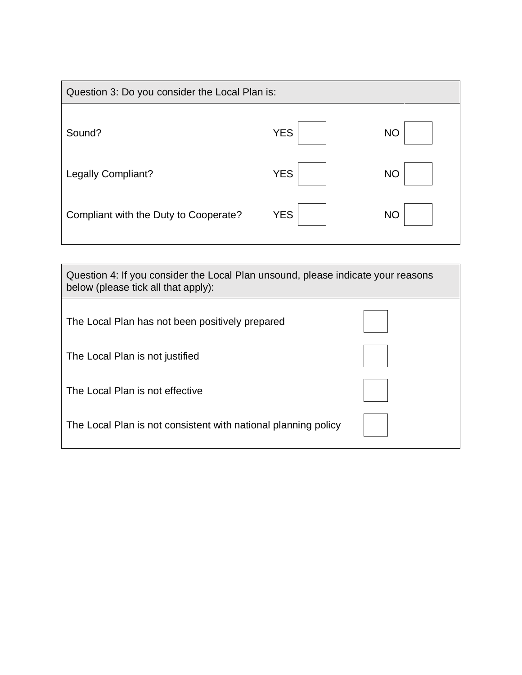| Question 3: Do you consider the Local Plan is: |            |           |  |
|------------------------------------------------|------------|-----------|--|
| Sound?                                         | <b>YES</b> | <b>NO</b> |  |
| <b>Legally Compliant?</b>                      | <b>YES</b> | <b>NO</b> |  |
| Compliant with the Duty to Cooperate?          | <b>YES</b> | <b>NO</b> |  |

| Question 4: If you consider the Local Plan unsound, please indicate your reasons<br>below (please tick all that apply): |  |  |
|-------------------------------------------------------------------------------------------------------------------------|--|--|
| The Local Plan has not been positively prepared                                                                         |  |  |
| The Local Plan is not justified                                                                                         |  |  |
| The Local Plan is not effective                                                                                         |  |  |
| The Local Plan is not consistent with national planning policy                                                          |  |  |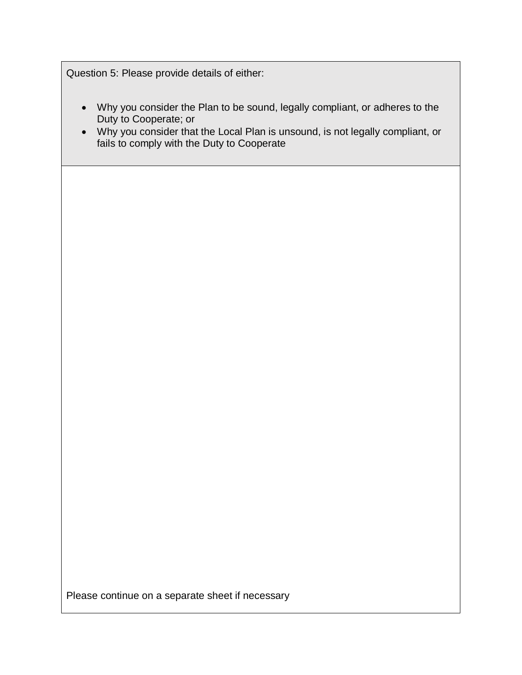Question 5: Please provide details of either:

- Why you consider the Plan to be sound, legally compliant, or adheres to the Duty to Cooperate; or
- Why you consider that the Local Plan is unsound, is not legally compliant, or fails to comply with the Duty to Cooperate

Please continue on a separate sheet if necessary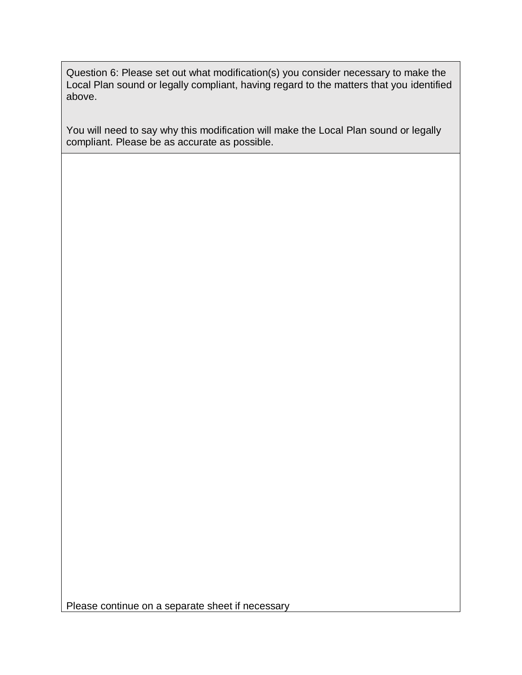Question 6: Please set out what modification(s) you consider necessary to make the Local Plan sound or legally compliant, having regard to the matters that you identified above.

You will need to say why this modification will make the Local Plan sound or legally compliant. Please be as accurate as possible.

Please continue on a separate sheet if necessary